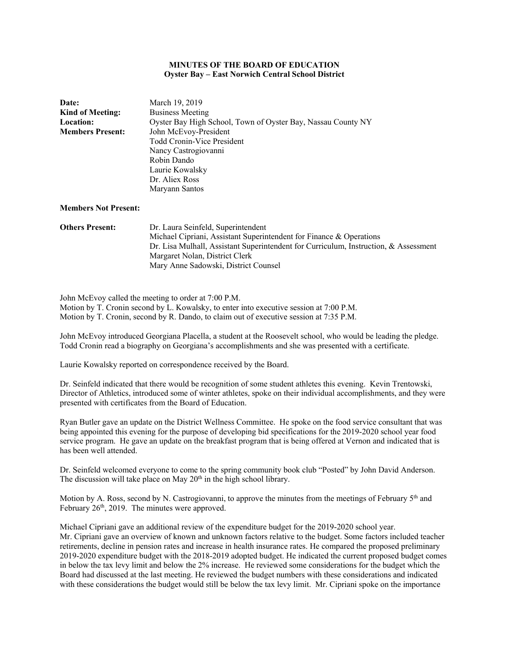# **MINUTES OF THE BOARD OF EDUCATION Oyster Bay – East Norwich Central School District**

| <b>Date:</b><br>Kind of Meeting:<br><b>Location:</b><br><b>Members Present:</b> | March 19, 2019<br><b>Business Meeting</b><br>Oyster Bay High School, Town of Oyster Bay, Nassau County NY<br>John McEvoy-President<br><b>Todd Cronin-Vice President</b><br>Nancy Castrogiovanni<br>Robin Dando<br>Laurie Kowalsky<br>Dr. Aliex Ross<br>Maryann Santos |
|---------------------------------------------------------------------------------|-----------------------------------------------------------------------------------------------------------------------------------------------------------------------------------------------------------------------------------------------------------------------|
| <b>Members Not Present:</b>                                                     |                                                                                                                                                                                                                                                                       |
| <b>Others Present:</b>                                                          | Dr. Laura Seinfeld, Superintendent                                                                                                                                                                                                                                    |

| <b>Others Present:</b> | Dr. Laura Seinfeld, Superintendent                                                   |
|------------------------|--------------------------------------------------------------------------------------|
|                        | Michael Cipriani, Assistant Superintendent for Finance & Operations                  |
|                        | Dr. Lisa Mulhall, Assistant Superintendent for Curriculum, Instruction, & Assessment |
|                        | Margaret Nolan, District Clerk                                                       |
|                        | Mary Anne Sadowski, District Counsel                                                 |

John McEvoy called the meeting to order at 7:00 P.M.

Motion by T. Cronin second by L. Kowalsky, to enter into executive session at 7:00 P.M. Motion by T. Cronin, second by R. Dando, to claim out of executive session at 7:35 P.M.

John McEvoy introduced Georgiana Placella, a student at the Roosevelt school, who would be leading the pledge. Todd Cronin read a biography on Georgiana's accomplishments and she was presented with a certificate.

Laurie Kowalsky reported on correspondence received by the Board.

Dr. Seinfeld indicated that there would be recognition of some student athletes this evening. Kevin Trentowski, Director of Athletics, introduced some of winter athletes, spoke on their individual accomplishments, and they were presented with certificates from the Board of Education.

Ryan Butler gave an update on the District Wellness Committee. He spoke on the food service consultant that was being appointed this evening for the purpose of developing bid specifications for the 2019-2020 school year food service program. He gave an update on the breakfast program that is being offered at Vernon and indicated that is has been well attended.

Dr. Seinfeld welcomed everyone to come to the spring community book club "Posted" by John David Anderson. The discussion will take place on May  $20<sup>th</sup>$  in the high school library.

Motion by A. Ross, second by N. Castrogiovanni, to approve the minutes from the meetings of February  $5<sup>th</sup>$  and February 26<sup>th</sup>, 2019. The minutes were approved.

Michael Cipriani gave an additional review of the expenditure budget for the 2019-2020 school year. Mr. Cipriani gave an overview of known and unknown factors relative to the budget. Some factors included teacher retirements, decline in pension rates and increase in health insurance rates. He compared the proposed preliminary 2019-2020 expenditure budget with the 2018-2019 adopted budget. He indicated the current proposed budget comes in below the tax levy limit and below the 2% increase. He reviewed some considerations for the budget which the Board had discussed at the last meeting. He reviewed the budget numbers with these considerations and indicated with these considerations the budget would still be below the tax levy limit. Mr. Cipriani spoke on the importance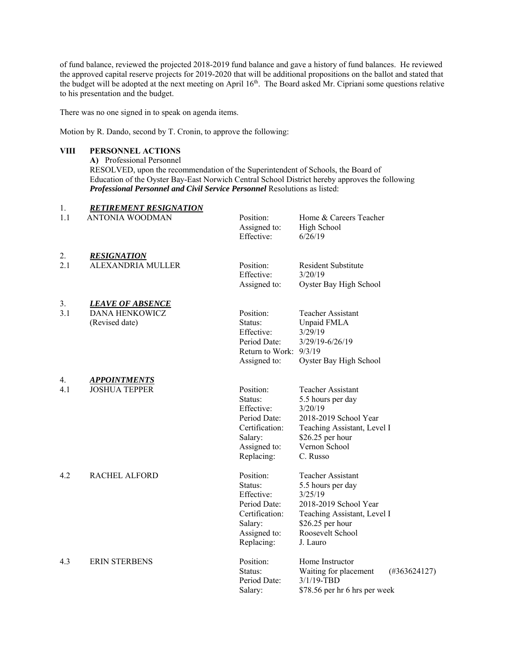of fund balance, reviewed the projected 2018-2019 fund balance and gave a history of fund balances. He reviewed the approved capital reserve projects for 2019-2020 that will be additional propositions on the ballot and stated that the budget will be adopted at the next meeting on April 16<sup>th</sup>. The Board asked Mr. Cipriani some questions relative to his presentation and the budget.

There was no one signed in to speak on agenda items.

Motion by R. Dando, second by T. Cronin, to approve the following:

# **VIII PERSONNEL ACTIONS**

**A)** Professional Personnel RESOLVED, upon the recommendation of the Superintendent of Schools, the Board of Education of the Oyster Bay-East Norwich Central School District hereby approves the following *Professional Personnel and Civil Service Personnel* Resolutions as listed:

| 1.        | <b>RETIREMENT RESIGNATION</b>                                      |                                                                                                               |                                                                                                                                                                    |
|-----------|--------------------------------------------------------------------|---------------------------------------------------------------------------------------------------------------|--------------------------------------------------------------------------------------------------------------------------------------------------------------------|
| 1.1       | <b>ANTONIA WOODMAN</b>                                             | Position:<br>Assigned to:<br>Effective:                                                                       | Home & Careers Teacher<br>High School<br>6/26/19                                                                                                                   |
| 2.<br>2.1 | <b>RESIGNATION</b><br>ALEXANDRIA MULLER                            | Position:<br>Effective:<br>Assigned to:                                                                       | Resident Substitute<br>3/20/19<br>Oyster Bay High School                                                                                                           |
| 3.<br>3.1 | <b>LEAVE OF ABSENCE</b><br><b>DANA HENKOWICZ</b><br>(Revised date) | Position:<br>Status:<br>Effective:<br>Period Date:<br>Return to Work: $9/3/19$<br>Assigned to:                | Teacher Assistant<br>Unpaid FMLA<br>3/29/19<br>3/29/19-6/26/19<br>Oyster Bay High School                                                                           |
| 4.<br>4.1 | <b>APPOINTMENTS</b><br><b>JOSHUA TEPPER</b>                        | Position:<br>Status:<br>Effective:<br>Period Date:<br>Certification:<br>Salary:<br>Assigned to:<br>Replacing: | <b>Teacher Assistant</b><br>5.5 hours per day<br>3/20/19<br>2018-2019 School Year<br>Teaching Assistant, Level I<br>$$26.25$ per hour<br>Vernon School<br>C. Russo |
| 4.2       | <b>RACHEL ALFORD</b>                                               | Position:<br>Status:<br>Effective:<br>Period Date:<br>Certification:<br>Salary:<br>Assigned to:<br>Replacing: | Teacher Assistant<br>5.5 hours per day<br>3/25/19<br>2018-2019 School Year<br>Teaching Assistant, Level I<br>\$26.25 per hour<br>Roosevelt School<br>J. Lauro      |
| 4.3       | <b>ERIN STERBENS</b>                                               | Position:<br>Status:<br>Period Date:<br>Salary:                                                               | Home Instructor<br>Waiting for placement<br>$(\#363624127)$<br>$3/1/19$ -TBD<br>\$78.56 per hr 6 hrs per week                                                      |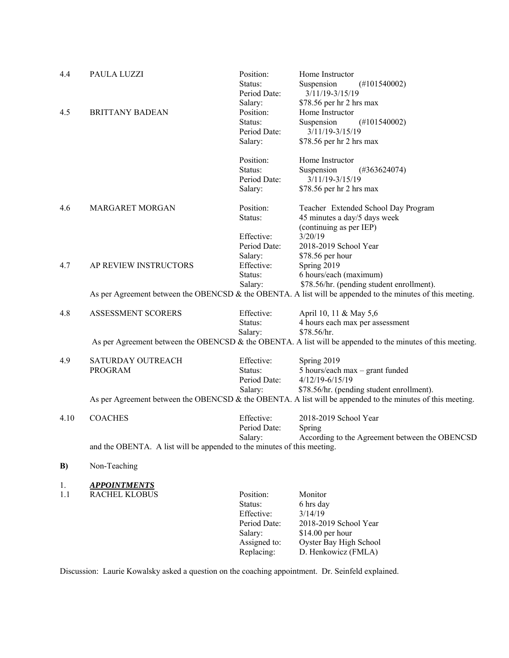| 4.4  | PAULA LUZZI                                                                                                | Position:    | Home Instructor                                                                                                                                         |
|------|------------------------------------------------------------------------------------------------------------|--------------|---------------------------------------------------------------------------------------------------------------------------------------------------------|
|      |                                                                                                            | Status:      | Suspension<br>$(\text{\#}101540002)$                                                                                                                    |
|      |                                                                                                            | Period Date: | 3/11/19-3/15/19                                                                                                                                         |
|      |                                                                                                            | Salary:      | \$78.56 per hr 2 hrs max                                                                                                                                |
| 4.5  | <b>BRITTANY BADEAN</b>                                                                                     | Position:    | Home Instructor                                                                                                                                         |
|      |                                                                                                            | Status:      | Suspension<br>$(\text{\#}101540002)$                                                                                                                    |
|      |                                                                                                            | Period Date: | $3/11/19 - 3/15/19$                                                                                                                                     |
|      |                                                                                                            | Salary:      | \$78.56 per hr 2 hrs max                                                                                                                                |
|      |                                                                                                            | Position:    | Home Instructor                                                                                                                                         |
|      |                                                                                                            | Status:      | Suspension<br>$(\#363624074)$                                                                                                                           |
|      |                                                                                                            | Period Date: | $3/11/19 - 3/15/19$                                                                                                                                     |
|      |                                                                                                            | Salary:      | \$78.56 per hr 2 hrs max                                                                                                                                |
| 4.6  | <b>MARGARET MORGAN</b>                                                                                     | Position:    | Teacher Extended School Day Program                                                                                                                     |
|      |                                                                                                            | Status:      | 45 minutes a day/5 days week                                                                                                                            |
|      |                                                                                                            |              | (continuing as per IEP)                                                                                                                                 |
|      |                                                                                                            | Effective:   | 3/20/19                                                                                                                                                 |
|      |                                                                                                            | Period Date: | 2018-2019 School Year                                                                                                                                   |
|      |                                                                                                            | Salary:      | \$78.56 per hour                                                                                                                                        |
| 4.7  | AP REVIEW INSTRUCTORS                                                                                      | Effective:   | Spring 2019                                                                                                                                             |
|      |                                                                                                            | Status:      | 6 hours/each (maximum)                                                                                                                                  |
|      |                                                                                                            | Salary:      | \$78.56/hr. (pending student enrollment).<br>As per Agreement between the OBENCSD & the OBENTA. A list will be appended to the minutes of this meeting. |
|      |                                                                                                            |              |                                                                                                                                                         |
| 4.8  | <b>ASSESSMENT SCORERS</b>                                                                                  | Effective:   | April 10, 11 & May 5,6                                                                                                                                  |
|      |                                                                                                            | Status:      | 4 hours each max per assessment                                                                                                                         |
|      |                                                                                                            | Salary:      | \$78.56/hr.                                                                                                                                             |
|      |                                                                                                            |              | As per Agreement between the OBENCSD & the OBENTA. A list will be appended to the minutes of this meeting.                                              |
| 4.9  | SATURDAY OUTREACH                                                                                          | Effective:   | Spring 2019                                                                                                                                             |
|      | <b>PROGRAM</b>                                                                                             | Status:      | 5 hours/each max - grant funded                                                                                                                         |
|      |                                                                                                            | Period Date: | $4/12/19 - 6/15/19$                                                                                                                                     |
|      |                                                                                                            | Salary:      | \$78.56/hr. (pending student enrollment).                                                                                                               |
|      | As per Agreement between the OBENCSD & the OBENTA. A list will be appended to the minutes of this meeting. |              |                                                                                                                                                         |
| 4.10 | <b>COACHES</b>                                                                                             | Effective:   | 2018-2019 School Year                                                                                                                                   |
|      |                                                                                                            | Period Date: | Spring                                                                                                                                                  |
|      |                                                                                                            | Salary:      | According to the Agreement between the OBENCSD                                                                                                          |
|      | and the OBENTA. A list will be appended to the minutes of this meeting.                                    |              |                                                                                                                                                         |
| B)   | Non-Teaching                                                                                               |              |                                                                                                                                                         |
| 1.   | <b>APPOINTMENTS</b>                                                                                        |              |                                                                                                                                                         |
| 1.1  | <b>RACHEL KLOBUS</b>                                                                                       | Position:    | Monitor                                                                                                                                                 |
|      |                                                                                                            | Status:      | 6 hrs day                                                                                                                                               |
|      |                                                                                                            | Effective:   | 3/14/19                                                                                                                                                 |
|      |                                                                                                            | Period Date: | 2018-2019 School Year                                                                                                                                   |
|      |                                                                                                            | Salary:      | \$14.00 per hour                                                                                                                                        |
|      |                                                                                                            | Assigned to: | Oyster Bay High School                                                                                                                                  |
|      |                                                                                                            | Replacing:   | D. Henkowicz (FMLA)                                                                                                                                     |
|      |                                                                                                            |              |                                                                                                                                                         |

Discussion: Laurie Kowalsky asked a question on the coaching appointment. Dr. Seinfeld explained.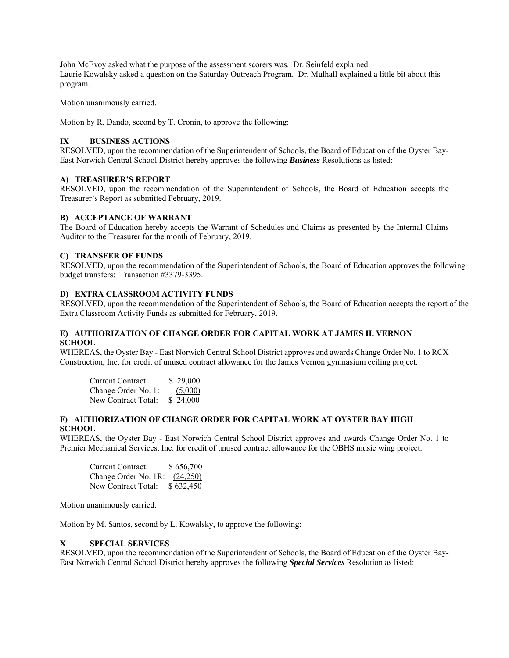John McEvoy asked what the purpose of the assessment scorers was. Dr. Seinfeld explained. Laurie Kowalsky asked a question on the Saturday Outreach Program. Dr. Mulhall explained a little bit about this program.

Motion unanimously carried.

Motion by R. Dando, second by T. Cronin, to approve the following:

# **IX BUSINESS ACTIONS**

RESOLVED, upon the recommendation of the Superintendent of Schools, the Board of Education of the Oyster Bay-East Norwich Central School District hereby approves the following *Business* Resolutions as listed:

### **A) TREASURER'S REPORT**

RESOLVED, upon the recommendation of the Superintendent of Schools, the Board of Education accepts the Treasurer's Report as submitted February, 2019.

#### **B) ACCEPTANCE OF WARRANT**

The Board of Education hereby accepts the Warrant of Schedules and Claims as presented by the Internal Claims Auditor to the Treasurer for the month of February, 2019.

### **C) TRANSFER OF FUNDS**

RESOLVED, upon the recommendation of the Superintendent of Schools, the Board of Education approves the following budget transfers: Transaction #3379-3395.

### **D) EXTRA CLASSROOM ACTIVITY FUNDS**

RESOLVED, upon the recommendation of the Superintendent of Schools, the Board of Education accepts the report of the Extra Classroom Activity Funds as submitted for February, 2019.

### **E) AUTHORIZATION OF CHANGE ORDER FOR CAPITAL WORK AT JAMES H. VERNON SCHOOL**

WHEREAS, the Oyster Bay - East Norwich Central School District approves and awards Change Order No. 1 to RCX Construction, Inc. for credit of unused contract allowance for the James Vernon gymnasium ceiling project.

| Current Contract:   | \$29,000 |
|---------------------|----------|
| Change Order No. 1: | (5,000)  |
| New Contract Total: | \$24,000 |

### **F) AUTHORIZATION OF CHANGE ORDER FOR CAPITAL WORK AT OYSTER BAY HIGH SCHOOL**

WHEREAS, the Oyster Bay - East Norwich Central School District approves and awards Change Order No. 1 to Premier Mechanical Services, Inc. for credit of unused contract allowance for the OBHS music wing project.

| Current Contract:               | \$656,700 |
|---------------------------------|-----------|
| Change Order No. 1R: $(24,250)$ |           |
| New Contract Total:             | \$632,450 |

Motion unanimously carried.

Motion by M. Santos, second by L. Kowalsky, to approve the following:

# **X SPECIAL SERVICES**

RESOLVED, upon the recommendation of the Superintendent of Schools, the Board of Education of the Oyster Bay-East Norwich Central School District hereby approves the following *Special Services* Resolution as listed: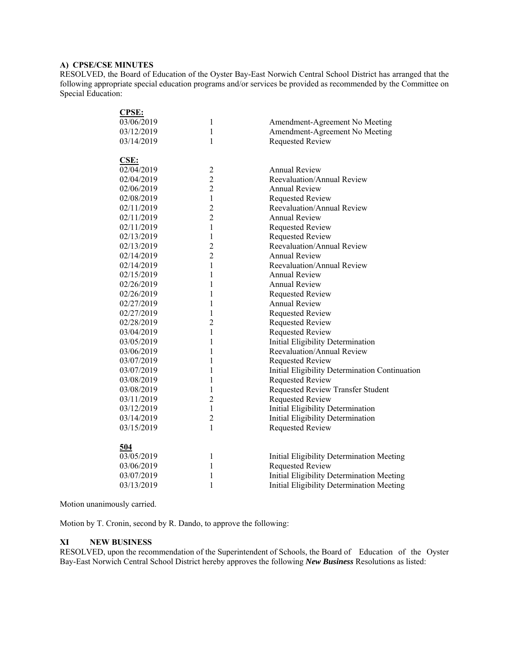# **A) CPSE/CSE MINUTES**

RESOLVED, the Board of Education of the Oyster Bay-East Norwich Central School District has arranged that the following appropriate special education programs and/or services be provided as recommended by the Committee on Special Education:

| <b>CPSE:</b> |                |                                                |
|--------------|----------------|------------------------------------------------|
| 03/06/2019   | 1              | Amendment-Agreement No Meeting                 |
| 03/12/2019   | 1              | Amendment-Agreement No Meeting                 |
| 03/14/2019   | 1              | <b>Requested Review</b>                        |
|              |                |                                                |
| CSE:         |                |                                                |
| 02/04/2019   | $\overline{c}$ | <b>Annual Review</b>                           |
| 02/04/2019   | $\overline{2}$ | Reevaluation/Annual Review                     |
| 02/06/2019   | $\overline{2}$ | <b>Annual Review</b>                           |
| 02/08/2019   | $\mathbf{1}$   | <b>Requested Review</b>                        |
| 02/11/2019   | $\overline{c}$ | Reevaluation/Annual Review                     |
| 02/11/2019   | $\overline{2}$ | <b>Annual Review</b>                           |
| 02/11/2019   | $\mathbf{1}$   | <b>Requested Review</b>                        |
| 02/13/2019   | $\mathbf{1}$   | <b>Requested Review</b>                        |
| 02/13/2019   | $\overline{c}$ | Reevaluation/Annual Review                     |
| 02/14/2019   | $\overline{2}$ | <b>Annual Review</b>                           |
| 02/14/2019   | $\mathbf{1}$   | Reevaluation/Annual Review                     |
| 02/15/2019   | 1              | <b>Annual Review</b>                           |
| 02/26/2019   | 1              | <b>Annual Review</b>                           |
| 02/26/2019   | $\mathbf{1}$   | <b>Requested Review</b>                        |
| 02/27/2019   | $\mathbf{1}$   | <b>Annual Review</b>                           |
| 02/27/2019   | $\mathbf{1}$   | <b>Requested Review</b>                        |
| 02/28/2019   | $\overline{2}$ | <b>Requested Review</b>                        |
| 03/04/2019   | $\mathbf{1}$   | <b>Requested Review</b>                        |
| 03/05/2019   | 1              | Initial Eligibility Determination              |
| 03/06/2019   | 1              | Reevaluation/Annual Review                     |
| 03/07/2019   | $\mathbf{1}$   | <b>Requested Review</b>                        |
| 03/07/2019   | 1              | Initial Eligibility Determination Continuation |
| 03/08/2019   | 1              | <b>Requested Review</b>                        |
| 03/08/2019   | 1              | Requested Review Transfer Student              |
| 03/11/2019   | $\overline{2}$ | <b>Requested Review</b>                        |
| 03/12/2019   | 1              | Initial Eligibility Determination              |
| 03/14/2019   | $\overline{2}$ | Initial Eligibility Determination              |
| 03/15/2019   | $\mathbf{1}$   | <b>Requested Review</b>                        |
|              |                |                                                |
| 504          |                |                                                |
| 03/05/2019   | 1              | Initial Eligibility Determination Meeting      |
| 03/06/2019   | $\mathbf{1}$   | Requested Review                               |
| 03/07/2019   | 1              | Initial Eligibility Determination Meeting      |
| 03/13/2019   | 1              | Initial Eligibility Determination Meeting      |
|              |                |                                                |

Motion unanimously carried.

Motion by T. Cronin, second by R. Dando, to approve the following:

### **XI NEW BUSINESS**

RESOLVED, upon the recommendation of the Superintendent of Schools, the Board of Education of the Oyster Bay-East Norwich Central School District hereby approves the following *New Business* Resolutions as listed: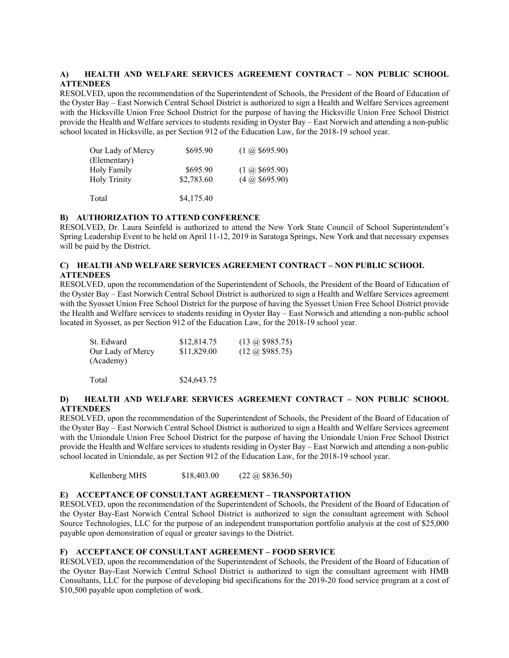## **A) HEALTH AND WELFARE SERVICES AGREEMENT CONTRACT – NON PUBLIC SCHOOL ATTENDEES**

RESOLVED, upon the recommendation of the Superintendent of Schools, the President of the Board of Education of the Oyster Bay – East Norwich Central School District is authorized to sign a Health and Welfare Services agreement with the Hicksville Union Free School District for the purpose of having the Hicksville Union Free School District provide the Health and Welfare services to students residing in Oyster Bay – East Norwich and attending a non-public school located in Hicksville, as per Section 912 of the Education Law, for the 2018-19 school year.

| Our Lady of Mercy<br>(Elementary)  | \$695.90               | $(1 \omega \, $695.90)$                          |
|------------------------------------|------------------------|--------------------------------------------------|
| Holy Family<br><b>Holy Trinity</b> | \$695.90<br>\$2,783.60 | $(1 \omega \, $695.90)$<br>$(4 \omega, $695.90)$ |
| Total                              | \$4,175.40             |                                                  |

### **B) AUTHORIZATION TO ATTEND CONFERENCE**

RESOLVED, Dr. Laura Seinfeld is authorized to attend the New York State Council of School Superintendent's Spring Leadership Event to be held on April 11-12, 2019 in Saratoga Springs, New York and that necessary expenses will be paid by the District.

# **C) HEALTH AND WELFARE SERVICES AGREEMENT CONTRACT – NON PUBLIC SCHOOL ATTENDEES**

RESOLVED, upon the recommendation of the Superintendent of Schools, the President of the Board of Education of the Oyster Bay – East Norwich Central School District is authorized to sign a Health and Welfare Services agreement with the Syosset Union Free School District for the purpose of having the Syosset Union Free School District provide the Health and Welfare services to students residing in Oyster Bay – East Norwich and attending a non-public school located in Syosset, as per Section 912 of the Education Law, for the 2018-19 school year.

| St. Edward        | \$12,814.75 | $(13 \omega \text{ } $985.75)$ |
|-------------------|-------------|--------------------------------|
| Our Lady of Mercy | \$11,829.00 | $(12 \omega \text{ } $985.75)$ |
| (Academy)         |             |                                |
| Total             | \$24,643.75 |                                |

### **D) HEALTH AND WELFARE SERVICES AGREEMENT CONTRACT – NON PUBLIC SCHOOL ATTENDEES**

RESOLVED, upon the recommendation of the Superintendent of Schools, the President of the Board of Education of the Oyster Bay – East Norwich Central School District is authorized to sign a Health and Welfare Services agreement with the Uniondale Union Free School District for the purpose of having the Uniondale Union Free School District provide the Health and Welfare services to students residing in Oyster Bay – East Norwich and attending a non-public school located in Uniondale, as per Section 912 of the Education Law, for the 2018-19 school year.

Kellenberg MHS \$18,403.00 (22 @ \$836.50)

### **E) ACCEPTANCE OF CONSULTANT AGREEMENT – TRANSPORTATION**

RESOLVED, upon the recommendation of the Superintendent of Schools, the President of the Board of Education of the Oyster Bay-East Norwich Central School District is authorized to sign the consultant agreement with School Source Technologies, LLC for the purpose of an independent transportation portfolio analysis at the cost of \$25,000 payable upon demonstration of equal or greater savings to the District.

#### **F) ACCEPTANCE OF CONSULTANT AGREEMENT – FOOD SERVICE**

RESOLVED, upon the recommendation of the Superintendent of Schools, the President of the Board of Education of the Oyster Bay-East Norwich Central School District is authorized to sign the consultant agreement with HMB Consultants, LLC for the purpose of developing bid specifications for the 2019-20 food service program at a cost of \$10,500 payable upon completion of work.